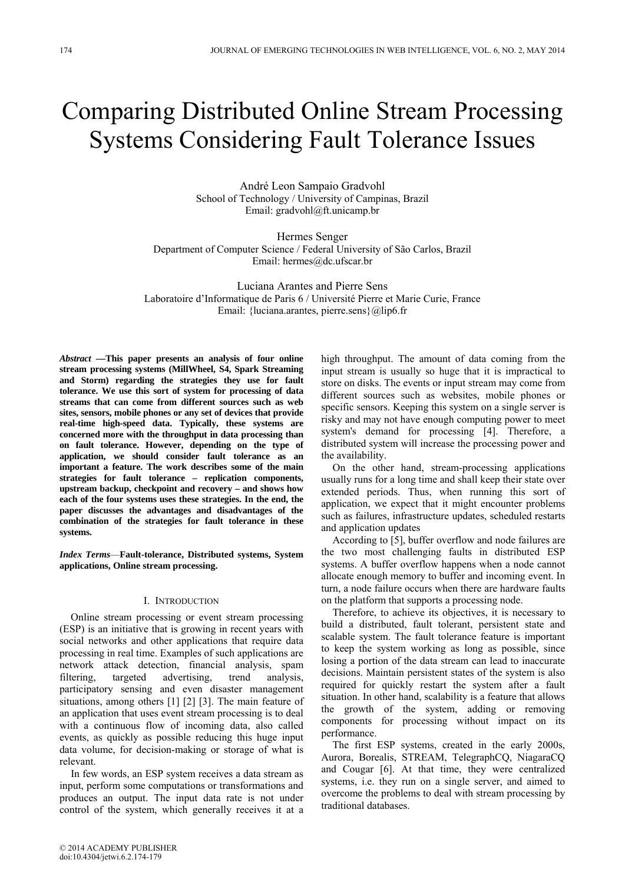# Comparing Distributed Online Stream Processing Systems Considering Fault Tolerance Issues

André Leon Sampaio Gradvohl School of Technology / University of Campinas, Brazil Email: gradvohl@ft.unicamp.br

Hermes Senger Department of Computer Science / Federal University of São Carlos, Brazil Email: hermes@dc.ufscar.br

Luciana Arantes and Pierre Sens Laboratoire d'Informatique de Paris 6 / Université Pierre et Marie Curie, France Email: {luciana.arantes, pierre.sens}@lip6.fr

*Abstract* **—This paper presents an analysis of four online stream processing systems (MillWheel, S4, Spark Streaming and Storm) regarding the strategies they use for fault tolerance. We use this sort of system for processing of data streams that can come from different sources such as web sites, sensors, mobile phones or any set of devices that provide real-time high-speed data. Typically, these systems are concerned more with the throughput in data processing than on fault tolerance. However, depending on the type of application, we should consider fault tolerance as an important a feature. The work describes some of the main strategies for fault tolerance – replication components, upstream backup, checkpoint and recovery – and shows how each of the four systems uses these strategies. In the end, the paper discusses the advantages and disadvantages of the combination of the strategies for fault tolerance in these systems.** 

*Index Terms*—**Fault-tolerance, Distributed systems, System applications, Online stream processing.** 

## I. INTRODUCTION

Online stream processing or event stream processing (ESP) is an initiative that is growing in recent years with social networks and other applications that require data processing in real time. Examples of such applications are network attack detection, financial analysis, spam filtering, targeted advertising, trend analysis, participatory sensing and even disaster management situations, among others [1] [2] [3]. The main feature of an application that uses event stream processing is to deal with a continuous flow of incoming data, also called events, as quickly as possible reducing this huge input data volume, for decision-making or storage of what is relevant.

In few words, an ESP system receives a data stream as input, perform some computations or transformations and produces an output. The input data rate is not under control of the system, which generally receives it at a

high throughput. The amount of data coming from the input stream is usually so huge that it is impractical to store on disks. The events or input stream may come from different sources such as websites, mobile phones or specific sensors. Keeping this system on a single server is risky and may not have enough computing power to meet system's demand for processing [4]. Therefore, a distributed system will increase the processing power and the availability.

On the other hand, stream-processing applications usually runs for a long time and shall keep their state over extended periods. Thus, when running this sort of application, we expect that it might encounter problems such as failures, infrastructure updates, scheduled restarts and application updates

According to [5], buffer overflow and node failures are the two most challenging faults in distributed ESP systems. A buffer overflow happens when a node cannot allocate enough memory to buffer and incoming event. In turn, a node failure occurs when there are hardware faults on the platform that supports a processing node.

Therefore, to achieve its objectives, it is necessary to build a distributed, fault tolerant, persistent state and scalable system. The fault tolerance feature is important to keep the system working as long as possible, since losing a portion of the data stream can lead to inaccurate decisions. Maintain persistent states of the system is also required for quickly restart the system after a fault situation. In other hand, scalability is a feature that allows the growth of the system, adding or removing components for processing without impact on its performance.

The first ESP systems, created in the early 2000s, Aurora, Borealis, STREAM, TelegraphCQ, NiagaraCQ and Cougar [6]. At that time, they were centralized systems, i.e. they run on a single server, and aimed to overcome the problems to deal with stream processing by traditional databases.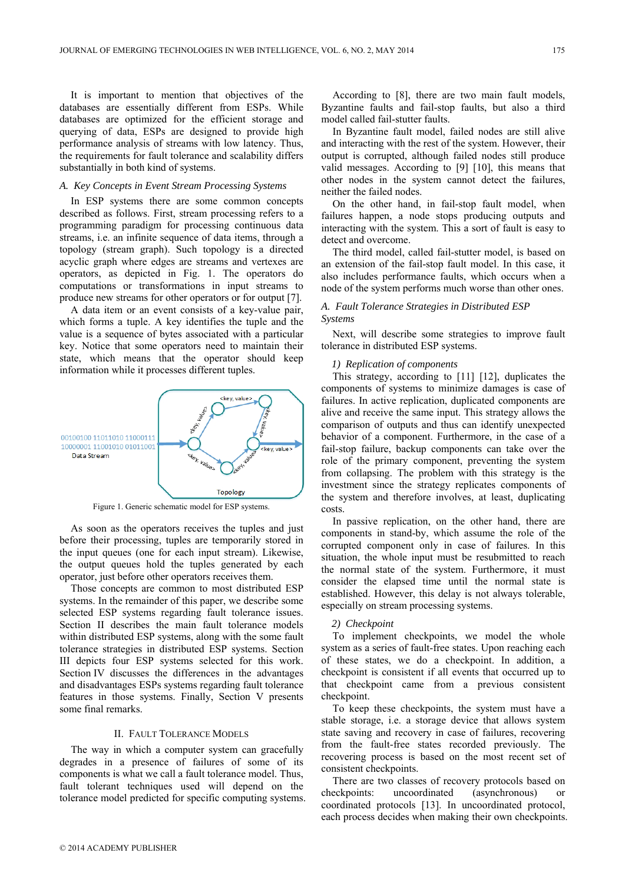It is important to mention that objectives of the databases are essentially different from ESPs. While databases are optimized for the efficient storage and querying of data, ESPs are designed to provide high performance analysis of streams with low latency. Thus, the requirements for fault tolerance and scalability differs substantially in both kind of systems.

#### *A. Key Concepts in Event Stream Processing Systems*

In ESP systems there are some common concepts described as follows. First, stream processing refers to a programming paradigm for processing continuous data streams, i.e. an infinite sequence of data items, through a topology (stream graph). Such topology is a directed acyclic graph where edges are streams and vertexes are operators, as depicted in Fig. 1. The operators do computations or transformations in input streams to produce new streams for other operators or for output [7].

A data item or an event consists of a key-value pair, which forms a tuple. A key identifies the tuple and the value is a sequence of bytes associated with a particular key. Notice that some operators need to maintain their state, which means that the operator should keep information while it processes different tuples.



Figure 1. Generic schematic model for ESP systems.

As soon as the operators receives the tuples and just before their processing, tuples are temporarily stored in the input queues (one for each input stream). Likewise, the output queues hold the tuples generated by each operator, just before other operators receives them.

Those concepts are common to most distributed ESP systems. In the remainder of this paper, we describe some selected ESP systems regarding fault tolerance issues. Section II describes the main fault tolerance models within distributed ESP systems, along with the some fault tolerance strategies in distributed ESP systems. Section III depicts four ESP systems selected for this work. Section IV discusses the differences in the advantages and disadvantages ESPs systems regarding fault tolerance features in those systems. Finally, Section V presents some final remarks.

## II. FAULT TOLERANCE MODELS

The way in which a computer system can gracefully degrades in a presence of failures of some of its components is what we call a fault tolerance model. Thus, fault tolerant techniques used will depend on the tolerance model predicted for specific computing systems.

According to [8], there are two main fault models, Byzantine faults and fail-stop faults, but also a third model called fail-stutter faults.

In Byzantine fault model, failed nodes are still alive and interacting with the rest of the system. However, their output is corrupted, although failed nodes still produce valid messages. According to [9] [10], this means that other nodes in the system cannot detect the failures, neither the failed nodes.

On the other hand, in fail-stop fault model, when failures happen, a node stops producing outputs and interacting with the system. This a sort of fault is easy to detect and overcome.

The third model, called fail-stutter model, is based on an extension of the fail-stop fault model. In this case, it also includes performance faults, which occurs when a node of the system performs much worse than other ones.

# *A. Fault Tolerance Strategies in Distributed ESP Systems*

Next, will describe some strategies to improve fault tolerance in distributed ESP systems.

## *1) Replication of components*

This strategy, according to [11] [12], duplicates the components of systems to minimize damages is case of failures. In active replication, duplicated components are alive and receive the same input. This strategy allows the comparison of outputs and thus can identify unexpected behavior of a component. Furthermore, in the case of a fail-stop failure, backup components can take over the role of the primary component, preventing the system from collapsing. The problem with this strategy is the investment since the strategy replicates components of the system and therefore involves, at least, duplicating costs.

In passive replication, on the other hand, there are components in stand-by, which assume the role of the corrupted component only in case of failures. In this situation, the whole input must be resubmitted to reach the normal state of the system. Furthermore, it must consider the elapsed time until the normal state is established. However, this delay is not always tolerable, especially on stream processing systems.

# *2) Checkpoint*

To implement checkpoints, we model the whole system as a series of fault-free states. Upon reaching each of these states, we do a checkpoint. In addition, a checkpoint is consistent if all events that occurred up to that checkpoint came from a previous consistent checkpoint.

To keep these checkpoints, the system must have a stable storage, i.e. a storage device that allows system state saving and recovery in case of failures, recovering from the fault-free states recorded previously. The recovering process is based on the most recent set of consistent checkpoints.

There are two classes of recovery protocols based on checkpoints: uncoordinated (asynchronous) or coordinated protocols [13]. In uncoordinated protocol, each process decides when making their own checkpoints.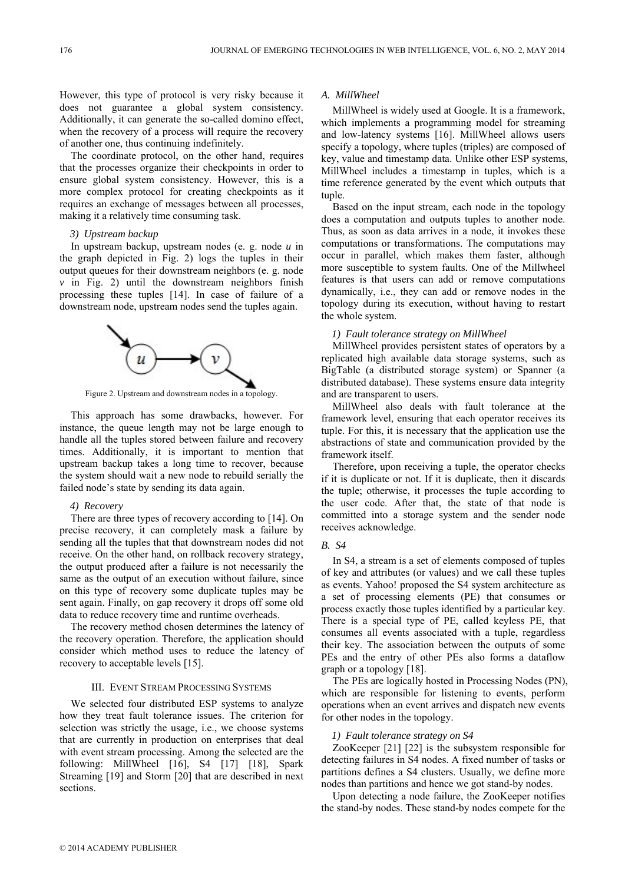However, this type of protocol is very risky because it does not guarantee a global system consistency. Additionally, it can generate the so-called domino effect, when the recovery of a process will require the recovery of another one, thus continuing indefinitely.

The coordinate protocol, on the other hand, requires that the processes organize their checkpoints in order to ensure global system consistency. However, this is a more complex protocol for creating checkpoints as it requires an exchange of messages between all processes, making it a relatively time consuming task.

# *3) Upstream backup*

In upstream backup, upstream nodes (e. g. node *u* in the graph depicted in Fig. 2) logs the tuples in their output queues for their downstream neighbors (e. g. node  $\nu$  in Fig. 2) until the downstream neighbors finish processing these tuples [14]. In case of failure of a downstream node, upstream nodes send the tuples again.



Figure 2. Upstream and downstream nodes in a topology.

This approach has some drawbacks, however. For instance, the queue length may not be large enough to handle all the tuples stored between failure and recovery times. Additionally, it is important to mention that upstream backup takes a long time to recover, because the system should wait a new node to rebuild serially the failed node's state by sending its data again.

#### *4) Recovery*

There are three types of recovery according to [14]. On precise recovery, it can completely mask a failure by sending all the tuples that that downstream nodes did not receive. On the other hand, on rollback recovery strategy, the output produced after a failure is not necessarily the same as the output of an execution without failure, since on this type of recovery some duplicate tuples may be sent again. Finally, on gap recovery it drops off some old data to reduce recovery time and runtime overheads.

The recovery method chosen determines the latency of the recovery operation. Therefore, the application should consider which method uses to reduce the latency of recovery to acceptable levels [15].

#### III. EVENT STREAM PROCESSING SYSTEMS

We selected four distributed ESP systems to analyze how they treat fault tolerance issues. The criterion for selection was strictly the usage, i.e., we choose systems that are currently in production on enterprises that deal with event stream processing. Among the selected are the following: MillWheel [16], S4 [17] [18], Spark Streaming [19] and Storm [20] that are described in next sections.

## *A. MillWheel*

MillWheel is widely used at Google. It is a framework, which implements a programming model for streaming and low-latency systems [16]. MillWheel allows users specify a topology, where tuples (triples) are composed of key, value and timestamp data. Unlike other ESP systems, MillWheel includes a timestamp in tuples, which is a time reference generated by the event which outputs that tuple.

Based on the input stream, each node in the topology does a computation and outputs tuples to another node. Thus, as soon as data arrives in a node, it invokes these computations or transformations. The computations may occur in parallel, which makes them faster, although more susceptible to system faults. One of the Millwheel features is that users can add or remove computations dynamically, i.e., they can add or remove nodes in the topology during its execution, without having to restart the whole system.

#### *1) Fault tolerance strategy on MillWheel*

MillWheel provides persistent states of operators by a replicated high available data storage systems, such as BigTable (a distributed storage system) or Spanner (a distributed database). These systems ensure data integrity and are transparent to users.

MillWheel also deals with fault tolerance at the framework level, ensuring that each operator receives its tuple. For this, it is necessary that the application use the abstractions of state and communication provided by the framework itself.

Therefore, upon receiving a tuple, the operator checks if it is duplicate or not. If it is duplicate, then it discards the tuple; otherwise, it processes the tuple according to the user code. After that, the state of that node is committed into a storage system and the sender node receives acknowledge.

## *B. S4*

In S4, a stream is a set of elements composed of tuples of key and attributes (or values) and we call these tuples as events. Yahoo! proposed the S4 system architecture as a set of processing elements (PE) that consumes or process exactly those tuples identified by a particular key. There is a special type of PE, called keyless PE, that consumes all events associated with a tuple, regardless their key. The association between the outputs of some PEs and the entry of other PEs also forms a dataflow graph or a topology [18].

The PEs are logically hosted in Processing Nodes (PN), which are responsible for listening to events, perform operations when an event arrives and dispatch new events for other nodes in the topology.

#### *1) Fault tolerance strategy on S4*

ZooKeeper [21] [22] is the subsystem responsible for detecting failures in S4 nodes. A fixed number of tasks or partitions defines a S4 clusters. Usually, we define more nodes than partitions and hence we got stand-by nodes.

Upon detecting a node failure, the ZooKeeper notifies the stand-by nodes. These stand-by nodes compete for the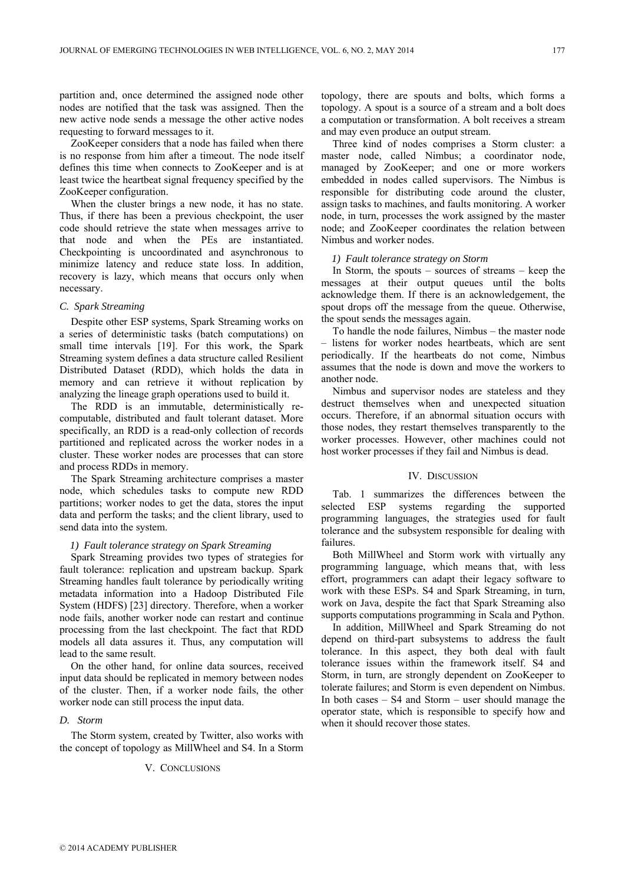partition and, once determined the assigned node other nodes are notified that the task was assigned. Then the new active node sends a message the other active nodes requesting to forward messages to it.

ZooKeeper considers that a node has failed when there is no response from him after a timeout. The node itself defines this time when connects to ZooKeeper and is at least twice the heartbeat signal frequency specified by the ZooKeeper configuration.

When the cluster brings a new node, it has no state. Thus, if there has been a previous checkpoint, the user code should retrieve the state when messages arrive to that node and when the PEs are instantiated. Checkpointing is uncoordinated and asynchronous to minimize latency and reduce state loss. In addition, recovery is lazy, which means that occurs only when necessary.

# *C. Spark Streaming*

Despite other ESP systems, Spark Streaming works on a series of deterministic tasks (batch computations) on small time intervals [19]. For this work, the Spark Streaming system defines a data structure called Resilient Distributed Dataset (RDD), which holds the data in memory and can retrieve it without replication by analyzing the lineage graph operations used to build it.

The RDD is an immutable, deterministically recomputable, distributed and fault tolerant dataset. More specifically, an RDD is a read-only collection of records partitioned and replicated across the worker nodes in a cluster. These worker nodes are processes that can store and process RDDs in memory.

The Spark Streaming architecture comprises a master node, which schedules tasks to compute new RDD partitions; worker nodes to get the data, stores the input data and perform the tasks; and the client library, used to send data into the system.

# *1) Fault tolerance strategy on Spark Streaming*

Spark Streaming provides two types of strategies for fault tolerance: replication and upstream backup. Spark Streaming handles fault tolerance by periodically writing metadata information into a Hadoop Distributed File System (HDFS) [23] directory. Therefore, when a worker node fails, another worker node can restart and continue processing from the last checkpoint. The fact that RDD models all data assures it. Thus, any computation will lead to the same result.

On the other hand, for online data sources, received input data should be replicated in memory between nodes of the cluster. Then, if a worker node fails, the other worker node can still process the input data.

#### *D. Storm*

The Storm system, created by Twitter, also works with the concept of topology as MillWheel and S4. In a Storm

### V. CONCLUSIONS

topology, there are spouts and bolts, which forms a topology. A spout is a source of a stream and a bolt does a computation or transformation. A bolt receives a stream and may even produce an output stream.

Three kind of nodes comprises a Storm cluster: a master node, called Nimbus; a coordinator node, managed by ZooKeeper; and one or more workers embedded in nodes called supervisors. The Nimbus is responsible for distributing code around the cluster, assign tasks to machines, and faults monitoring. A worker node, in turn, processes the work assigned by the master node; and ZooKeeper coordinates the relation between Nimbus and worker nodes.

# *1) Fault tolerance strategy on Storm*

In Storm, the spouts – sources of streams – keep the messages at their output queues until the bolts acknowledge them. If there is an acknowledgement, the spout drops off the message from the queue. Otherwise, the spout sends the messages again.

To handle the node failures, Nimbus – the master node – listens for worker nodes heartbeats, which are sent periodically. If the heartbeats do not come, Nimbus assumes that the node is down and move the workers to another node.

Nimbus and supervisor nodes are stateless and they destruct themselves when and unexpected situation occurs. Therefore, if an abnormal situation occurs with those nodes, they restart themselves transparently to the worker processes. However, other machines could not host worker processes if they fail and Nimbus is dead.

#### IV. DISCUSSION

Tab. 1 summarizes the differences between the selected ESP systems regarding the supported programming languages, the strategies used for fault tolerance and the subsystem responsible for dealing with failures.

Both MillWheel and Storm work with virtually any programming language, which means that, with less effort, programmers can adapt their legacy software to work with these ESPs. S4 and Spark Streaming, in turn, work on Java, despite the fact that Spark Streaming also supports computations programming in Scala and Python.

In addition, MillWheel and Spark Streaming do not depend on third-part subsystems to address the fault tolerance. In this aspect, they both deal with fault tolerance issues within the framework itself. S4 and Storm, in turn, are strongly dependent on ZooKeeper to tolerate failures; and Storm is even dependent on Nimbus. In both cases – S4 and Storm – user should manage the operator state, which is responsible to specify how and when it should recover those states.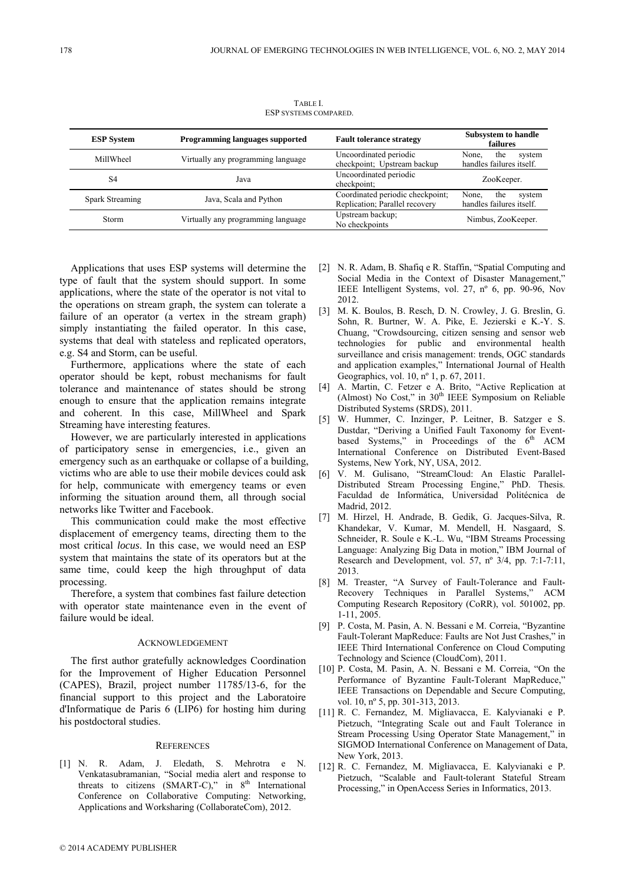| <b>ESP System</b> | <b>Programming languages supported</b> | <b>Fault tolerance strategy</b>                                    | <b>Subsystem to handle</b><br>failures             |
|-------------------|----------------------------------------|--------------------------------------------------------------------|----------------------------------------------------|
| MillWheel         | Virtually any programming language     | Uncoordinated periodic<br>checkpoint; Upstream backup              | None.<br>the<br>system<br>handles failures itself. |
| S <sub>4</sub>    | Java                                   | Uncoordinated periodic<br>checkpoint;                              | ZooKeeper.                                         |
| Spark Streaming   | Java, Scala and Python                 | Coordinated periodic checkpoint;<br>Replication; Parallel recovery | None.<br>the<br>system<br>handles failures itself. |
| Storm             | Virtually any programming language     | Upstream backup;<br>No checkpoints                                 | Nimbus, ZooKeeper.                                 |

TABLE I. ESP SYSTEMS COMPARED.

Applications that uses ESP systems will determine the type of fault that the system should support. In some applications, where the state of the operator is not vital to the operations on stream graph, the system can tolerate a failure of an operator (a vertex in the stream graph) simply instantiating the failed operator. In this case, systems that deal with stateless and replicated operators, e.g. S4 and Storm, can be useful.

Furthermore, applications where the state of each operator should be kept, robust mechanisms for fault tolerance and maintenance of states should be strong enough to ensure that the application remains integrate and coherent. In this case, MillWheel and Spark Streaming have interesting features.

However, we are particularly interested in applications of participatory sense in emergencies, i.e., given an emergency such as an earthquake or collapse of a building, victims who are able to use their mobile devices could ask for help, communicate with emergency teams or even informing the situation around them, all through social networks like Twitter and Facebook.

This communication could make the most effective displacement of emergency teams, directing them to the most critical *locus*. In this case, we would need an ESP system that maintains the state of its operators but at the same time, could keep the high throughput of data processing.

Therefore, a system that combines fast failure detection with operator state maintenance even in the event of failure would be ideal.

#### ACKNOWLEDGEMENT

The first author gratefully acknowledges Coordination for the Improvement of Higher Education Personnel (CAPES), Brazil, project number 11785/13-6, for the financial support to this project and the Laboratoire d'Informatique de Paris 6 (LIP6) for hosting him during his postdoctoral studies.

#### **REFERENCES**

[1] N. R. Adam, J. Eledath, S. Mehrotra e N. Venkatasubramanian, "Social media alert and response to threats to citizens (SMART-C)," in  $8<sup>th</sup>$  International Conference on Collaborative Computing: Networking, Applications and Worksharing (CollaborateCom), 2012.

- [2] N. R. Adam, B. Shafiq e R. Staffin, "Spatial Computing and Social Media in the Context of Disaster Management," IEEE Intelligent Systems, vol. 27, nº 6, pp. 90-96, Nov 2012.
- [3] M. K. Boulos, B. Resch, D. N. Crowley, J. G. Breslin, G. Sohn, R. Burtner, W. A. Pike, E. Jezierski e K.-Y. S. Chuang, "Crowdsourcing, citizen sensing and sensor web technologies for public and environmental health surveillance and crisis management: trends, OGC standards and application examples," International Journal of Health Geographics, vol. 10, nº 1, p. 67, 2011.
- [4] A. Martin, C. Fetzer e A. Brito, "Active Replication at (Almost) No Cost," in  $30<sup>th</sup>$  IEEE Symposium on Reliable Distributed Systems (SRDS), 2011.
- [5] W. Hummer, C. Inzinger, P. Leitner, B. Satzger e S. Dustdar, "Deriving a Unified Fault Taxonomy for Eventbased Systems," in Proceedings of the  $6<sup>th</sup>$  ACM International Conference on Distributed Event-Based Systems, New York, NY, USA, 2012.
- [6] V. M. Gulisano, "StreamCloud: An Elastic Parallel-Distributed Stream Processing Engine," PhD. Thesis. Faculdad de Informática, Universidad Politécnica de Madrid, 2012.
- [7] M. Hirzel, H. Andrade, B. Gedik, G. Jacques-Silva, R. Khandekar, V. Kumar, M. Mendell, H. Nasgaard, S. Schneider, R. Soule e K.-L. Wu, "IBM Streams Processing Language: Analyzing Big Data in motion," IBM Journal of Research and Development, vol. 57, nº 3/4, pp. 7:1-7:11, 2013.
- [8] M. Treaster, "A Survey of Fault-Tolerance and Fault-Recovery Techniques in Parallel Systems," ACM Computing Research Repository (CoRR), vol. 501002, pp. 1-11, 2005.
- [9] P. Costa, M. Pasin, A. N. Bessani e M. Correia, "Byzantine Fault-Tolerant MapReduce: Faults are Not Just Crashes," in IEEE Third International Conference on Cloud Computing Technology and Science (CloudCom), 2011.
- [10] P. Costa, M. Pasin, A. N. Bessani e M. Correia, "On the Performance of Byzantine Fault-Tolerant MapReduce," IEEE Transactions on Dependable and Secure Computing, vol. 10, nº 5, pp. 301-313, 2013.
- [11] R. C. Fernandez, M. Migliavacca, E. Kalyvianaki e P. Pietzuch, "Integrating Scale out and Fault Tolerance in Stream Processing Using Operator State Management," in SIGMOD International Conference on Management of Data, New York, 2013.
- [12] R. C. Fernandez, M. Migliavacca, E. Kalyvianaki e P. Pietzuch, "Scalable and Fault-tolerant Stateful Stream Processing," in OpenAccess Series in Informatics, 2013.